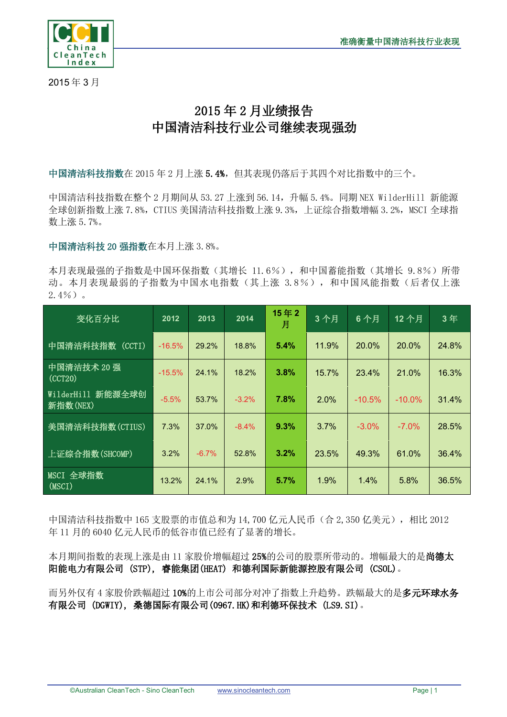

2015 年 3 月

## 2015 年 2 月业绩报告 中国清洁科技行业公司继续表现强劲

中国清洁科技指数在 2015 年 2 月上涨 5.4%,但其表现仍落后于其四个对比指数中的三个。

中国清洁科技指数在整个 2 月期间从 53.27 上涨到 56.14,升幅 5.4%。同期 NEX WilderHill 新能源 全球创新指数上涨 7.8%, CTIUS 美国清洁科技指数上涨 9.3%, 上证综合指数增幅 3.2%, MSCI 全球指 数上涨 5.7%。

中国清洁科技 20 强指数在本月上涨 3.8%。

本月表现最强的子指数是中国环保指数(其增长 11.6%),和中国蓄能指数(其增长 9.8%)所带 动。本月表现最弱的子指数为中国水电指数(其上涨 3.8%), 和中国风能指数(后者仅上涨  $2.4\%$ )。

| 变化百分比                         | 2012     | 2013    | 2014     | 15年2<br>月 | 3个月   | 6个月      | 12个月      | 3年    |
|-------------------------------|----------|---------|----------|-----------|-------|----------|-----------|-------|
| 中国清洁科技指数<br>(CCTI)            | $-16.5%$ | 29.2%   | 18.8%    | 5.4%      | 11.9% | 20.0%    | 20.0%     | 24.8% |
| 中国清洁技术 20 强<br>(CCT20)        | $-15.5%$ | 24.1%   | 18.2%    | 3.8%      | 15.7% | 23.4%    | 21.0%     | 16.3% |
| WilderHill 新能源全球创<br>新指数(NEX) | $-5.5%$  | 53.7%   | $-3.2\%$ | 7.8%      | 2.0%  | $-10.5%$ | $-10.0\%$ | 31.4% |
| 美国清洁科技指数(CTIUS)               | 7.3%     | 37.0%   | $-8.4%$  | 9.3%      | 3.7%  | $-3.0%$  | $-7.0\%$  | 28.5% |
| 上证综合指数(SHCOMP)                | 3.2%     | $-6.7%$ | 52.8%    | 3.2%      | 23.5% | 49.3%    | 61.0%     | 36.4% |
| MSCI 全球指数<br>(MSCI)           | 13.2%    | 24.1%   | 2.9%     | 5.7%      | 1.9%  | 1.4%     | 5.8%      | 36.5% |

中国清洁科技指数中 165 支股票的市值总和为 14,700 亿元人民币(合 2,350 亿美元),相比 2012 年 11 月的 6040 亿元人民币的低谷市值已经有了显著的增长。

本月期间指数的表现上涨是由 11 家股价增幅超过 25%的公司的股票所带动的。增幅最大的是尚德太 阳能电力有限公司 (STP), 睿能集团(HEAT) 和德利国际新能源控股有限公司 (CSOL)。

而另外仅有 4 家股价跌幅超过 10%的上市公司部分对冲了指数上升趋势。跌幅最大的是多元环球水务 有限公司 (DGWIY), 桑德国际有限公司(0967.HK)和利德环保技术 (LS9.SI)。